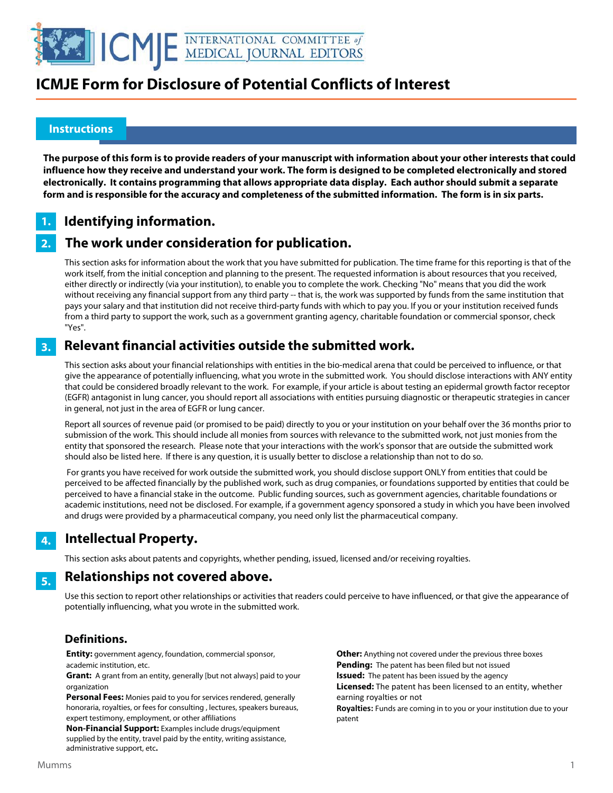

#### **Instructions**

 

> **The purpose of this form is to provide readers of your manuscript with information about your other interests that could influence how they receive and understand your work. The form is designed to be completed electronically and stored electronically. It contains programming that allows appropriate data display. Each author should submit a separate form and is responsible for the accuracy and completeness of the submitted information. The form is in six parts.**

#### **Identifying information. 1.**

#### **The work under consideration for publication. 2.**

This section asks for information about the work that you have submitted for publication. The time frame for this reporting is that of the work itself, from the initial conception and planning to the present. The requested information is about resources that you received, either directly or indirectly (via your institution), to enable you to complete the work. Checking "No" means that you did the work without receiving any financial support from any third party -- that is, the work was supported by funds from the same institution that pays your salary and that institution did not receive third-party funds with which to pay you. If you or your institution received funds from a third party to support the work, such as a government granting agency, charitable foundation or commercial sponsor, check "Yes".

#### **Relevant financial activities outside the submitted work. 3.**

This section asks about your financial relationships with entities in the bio-medical arena that could be perceived to influence, or that give the appearance of potentially influencing, what you wrote in the submitted work. You should disclose interactions with ANY entity that could be considered broadly relevant to the work. For example, if your article is about testing an epidermal growth factor receptor (EGFR) antagonist in lung cancer, you should report all associations with entities pursuing diagnostic or therapeutic strategies in cancer in general, not just in the area of EGFR or lung cancer.

Report all sources of revenue paid (or promised to be paid) directly to you or your institution on your behalf over the 36 months prior to submission of the work. This should include all monies from sources with relevance to the submitted work, not just monies from the entity that sponsored the research. Please note that your interactions with the work's sponsor that are outside the submitted work should also be listed here. If there is any question, it is usually better to disclose a relationship than not to do so.

 For grants you have received for work outside the submitted work, you should disclose support ONLY from entities that could be perceived to be affected financially by the published work, such as drug companies, or foundations supported by entities that could be perceived to have a financial stake in the outcome. Public funding sources, such as government agencies, charitable foundations or academic institutions, need not be disclosed. For example, if a government agency sponsored a study in which you have been involved and drugs were provided by a pharmaceutical company, you need only list the pharmaceutical company.

#### **Intellectual Property. 4.**

This section asks about patents and copyrights, whether pending, issued, licensed and/or receiving royalties.

#### **Relationships not covered above. 5.**

Use this section to report other relationships or activities that readers could perceive to have influenced, or that give the appearance of potentially influencing, what you wrote in the submitted work.

### **Definitions.**

**Entity:** government agency, foundation, commercial sponsor, academic institution, etc.

**Grant:** A grant from an entity, generally [but not always] paid to your organization

**Personal Fees:** Monies paid to you for services rendered, generally honoraria, royalties, or fees for consulting , lectures, speakers bureaus, expert testimony, employment, or other affiliations

**Non-Financial Support:** Examples include drugs/equipment supplied by the entity, travel paid by the entity, writing assistance, administrative support, etc**.**

**Other:** Anything not covered under the previous three boxes **Pending:** The patent has been filed but not issued **Issued:** The patent has been issued by the agency **Licensed:** The patent has been licensed to an entity, whether earning royalties or not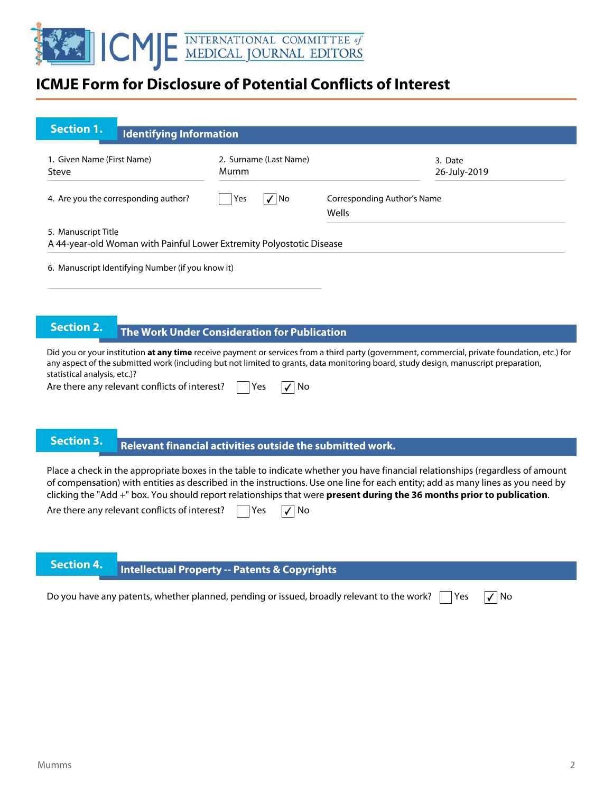

| <b>Section 1.</b>                   | <b>Identifying Information</b>                    |                                                                      |                                      |
|-------------------------------------|---------------------------------------------------|----------------------------------------------------------------------|--------------------------------------|
| 1. Given Name (First Name)<br>Steve |                                                   | 2. Surname (Last Name)<br>Mumm                                       | 3. Date<br>26-July-2019              |
|                                     | 4. Are you the corresponding author?              | $\sqrt{ N_{0}}$<br>Yes                                               | Corresponding Author's Name<br>Wells |
| 5. Manuscript Title                 |                                                   | A 44-year-old Woman with Painful Lower Extremity Polyostotic Disease |                                      |
|                                     | 6. Manuscript Identifying Number (if you know it) |                                                                      |                                      |

### **The Work Under Consideration for Publication**

Did you or your institution **at any time** receive payment or services from a third party (government, commercial, private foundation, etc.) for any aspect of the submitted work (including but not limited to grants, data monitoring board, study design, manuscript preparation, statistical analysis, etc.)?

| Are there any relevant conflicts of interest? |  | l Yes |  | $\vert\sqrt{\vert}$ No |
|-----------------------------------------------|--|-------|--|------------------------|
|-----------------------------------------------|--|-------|--|------------------------|

## **Relevant financial activities outside the submitted work. Section 3. Relevant financial activities outset**

Place a check in the appropriate boxes in the table to indicate whether you have financial relationships (regardless of amount of compensation) with entities as described in the instructions. Use one line for each entity; add as many lines as you need by clicking the "Add +" box. You should report relationships that were **present during the 36 months prior to publication**.

| Are there any relevant conflicts of interest? | <b>Yes</b> | $\sqrt{}$ No |
|-----------------------------------------------|------------|--------------|
|                                               |            |              |

## **Intellectual Property -- Patents & Copyrights**

|  |  | Do you have any patents, whether planned, pending or issued, broadly relevant to the work? $\Box$ Yes $\Box$ No |  |  |
|--|--|-----------------------------------------------------------------------------------------------------------------|--|--|
|--|--|-----------------------------------------------------------------------------------------------------------------|--|--|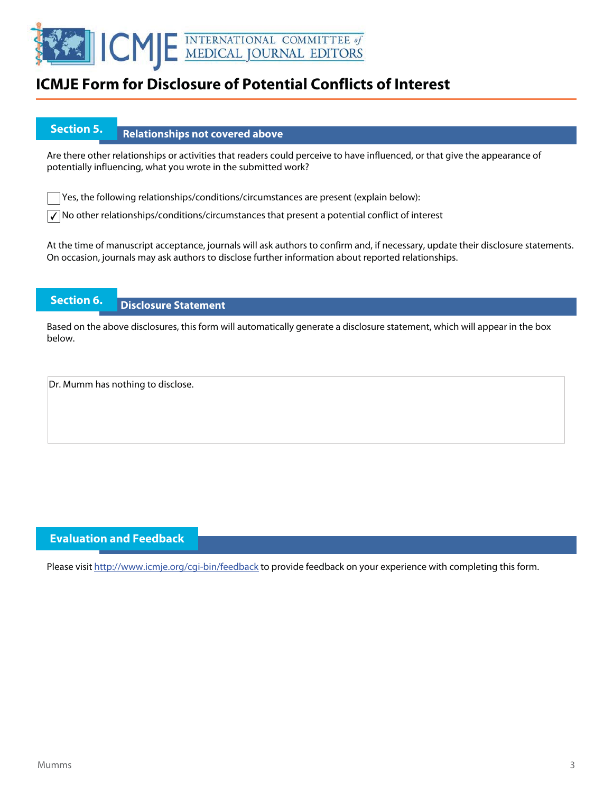

### **Section 5.** Relationships not covered above

Are there other relationships or activities that readers could perceive to have influenced, or that give the appearance of potentially influencing, what you wrote in the submitted work?

Yes, the following relationships/conditions/circumstances are present (explain below):

 $\sqrt{\ }$  No other relationships/conditions/circumstances that present a potential conflict of interest

At the time of manuscript acceptance, journals will ask authors to confirm and, if necessary, update their disclosure statements. On occasion, journals may ask authors to disclose further information about reported relationships.

### **Section 6. Disclosure Statement**

Based on the above disclosures, this form will automatically generate a disclosure statement, which will appear in the box below.

Dr. Mumm has nothing to disclose.

### **Evaluation and Feedback**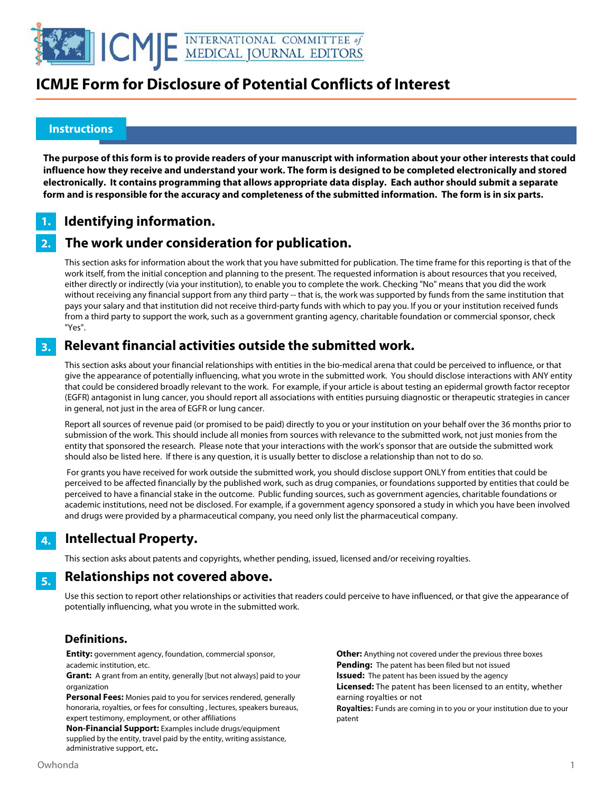

#### **Instructions**

 

> **The purpose of this form is to provide readers of your manuscript with information about your other interests that could influence how they receive and understand your work. The form is designed to be completed electronically and stored electronically. It contains programming that allows appropriate data display. Each author should submit a separate form and is responsible for the accuracy and completeness of the submitted information. The form is in six parts.**

#### **Identifying information. 1.**

#### **The work under consideration for publication. 2.**

This section asks for information about the work that you have submitted for publication. The time frame for this reporting is that of the work itself, from the initial conception and planning to the present. The requested information is about resources that you received, either directly or indirectly (via your institution), to enable you to complete the work. Checking "No" means that you did the work without receiving any financial support from any third party -- that is, the work was supported by funds from the same institution that pays your salary and that institution did not receive third-party funds with which to pay you. If you or your institution received funds from a third party to support the work, such as a government granting agency, charitable foundation or commercial sponsor, check "Yes".

#### **Relevant financial activities outside the submitted work. 3.**

This section asks about your financial relationships with entities in the bio-medical arena that could be perceived to influence, or that give the appearance of potentially influencing, what you wrote in the submitted work. You should disclose interactions with ANY entity that could be considered broadly relevant to the work. For example, if your article is about testing an epidermal growth factor receptor (EGFR) antagonist in lung cancer, you should report all associations with entities pursuing diagnostic or therapeutic strategies in cancer in general, not just in the area of EGFR or lung cancer.

Report all sources of revenue paid (or promised to be paid) directly to you or your institution on your behalf over the 36 months prior to submission of the work. This should include all monies from sources with relevance to the submitted work, not just monies from the entity that sponsored the research. Please note that your interactions with the work's sponsor that are outside the submitted work should also be listed here. If there is any question, it is usually better to disclose a relationship than not to do so.

 For grants you have received for work outside the submitted work, you should disclose support ONLY from entities that could be perceived to be affected financially by the published work, such as drug companies, or foundations supported by entities that could be perceived to have a financial stake in the outcome. Public funding sources, such as government agencies, charitable foundations or academic institutions, need not be disclosed. For example, if a government agency sponsored a study in which you have been involved and drugs were provided by a pharmaceutical company, you need only list the pharmaceutical company.

#### **Intellectual Property. 4.**

This section asks about patents and copyrights, whether pending, issued, licensed and/or receiving royalties.

#### **Relationships not covered above. 5.**

Use this section to report other relationships or activities that readers could perceive to have influenced, or that give the appearance of potentially influencing, what you wrote in the submitted work.

### **Definitions.**

**Entity:** government agency, foundation, commercial sponsor, academic institution, etc.

**Grant:** A grant from an entity, generally [but not always] paid to your organization

**Personal Fees:** Monies paid to you for services rendered, generally honoraria, royalties, or fees for consulting , lectures, speakers bureaus, expert testimony, employment, or other affiliations

**Non-Financial Support:** Examples include drugs/equipment supplied by the entity, travel paid by the entity, writing assistance, administrative support, etc**.**

**Other:** Anything not covered under the previous three boxes **Pending:** The patent has been filed but not issued **Issued:** The patent has been issued by the agency **Licensed:** The patent has been licensed to an entity, whether earning royalties or not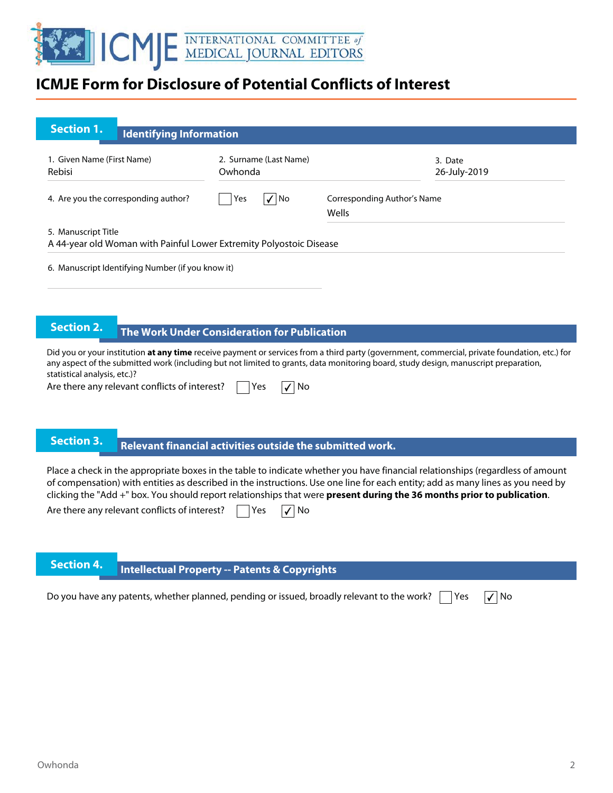

| <b>Section 1.</b>                    | <b>Identifying Information</b>                    |                                                                     |                                      |
|--------------------------------------|---------------------------------------------------|---------------------------------------------------------------------|--------------------------------------|
| 1. Given Name (First Name)<br>Rebisi |                                                   | 2. Surname (Last Name)<br>Owhonda                                   | 3. Date<br>26-July-2019              |
|                                      | 4. Are you the corresponding author?              | No<br>Yes<br>$\checkmark$                                           | Corresponding Author's Name<br>Wells |
| 5. Manuscript Title                  |                                                   | A 44-year old Woman with Painful Lower Extremity Polyostoic Disease |                                      |
|                                      | 6. Manuscript Identifying Number (if you know it) |                                                                     |                                      |
|                                      |                                                   |                                                                     |                                      |

### **The Work Under Consideration for Publication**

Did you or your institution **at any time** receive payment or services from a third party (government, commercial, private foundation, etc.) for any aspect of the submitted work (including but not limited to grants, data monitoring board, study design, manuscript preparation, statistical analysis, etc.)?

| Are there any relevant conflicts of interest? |  | l Yes |  | $\vert\sqrt{\vert}$ No |
|-----------------------------------------------|--|-------|--|------------------------|
|-----------------------------------------------|--|-------|--|------------------------|

# **Relevant financial activities outside the submitted work. Section 3. Relevant financial activities outset**

Place a check in the appropriate boxes in the table to indicate whether you have financial relationships (regardless of amount of compensation) with entities as described in the instructions. Use one line for each entity; add as many lines as you need by clicking the "Add +" box. You should report relationships that were **present during the 36 months prior to publication**.

|  | Are there any relevant conflicts of interest? |  | Yes |  | $\sqrt{}$ No |
|--|-----------------------------------------------|--|-----|--|--------------|
|--|-----------------------------------------------|--|-----|--|--------------|

## **Intellectual Property -- Patents & Copyrights**

Do you have any patents, whether planned, pending or issued, broadly relevant to the work?  $\Box$  Yes  $\Box$  No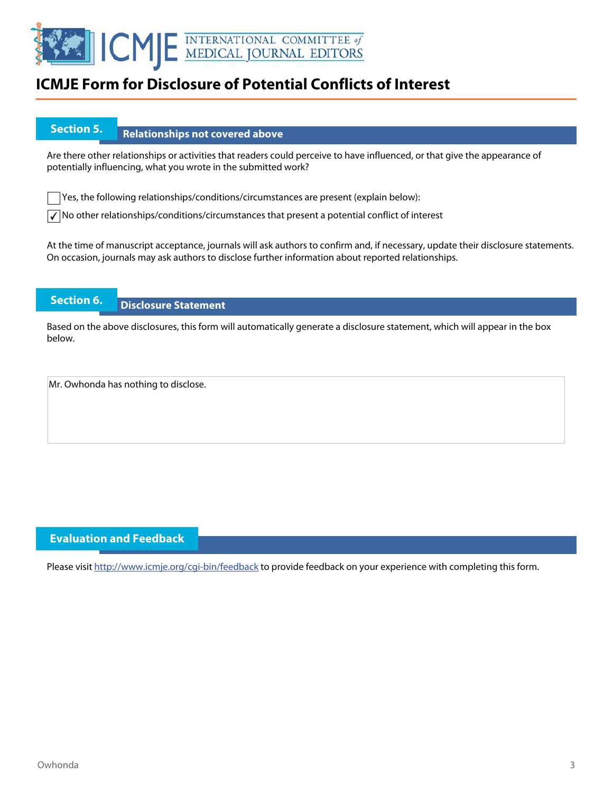

### **Section 5.** Relationships not covered above

Are there other relationships or activities that readers could perceive to have influenced, or that give the appearance of potentially influencing, what you wrote in the submitted work?

Yes, the following relationships/conditions/circumstances are present (explain below):

 $\sqrt{\ }$  No other relationships/conditions/circumstances that present a potential conflict of interest

At the time of manuscript acceptance, journals will ask authors to confirm and, if necessary, update their disclosure statements. On occasion, journals may ask authors to disclose further information about reported relationships.

### **Section 6. Disclosure Statement**

Based on the above disclosures, this form will automatically generate a disclosure statement, which will appear in the box below.

Mr. Owhonda has nothing to disclose.

### **Evaluation and Feedback**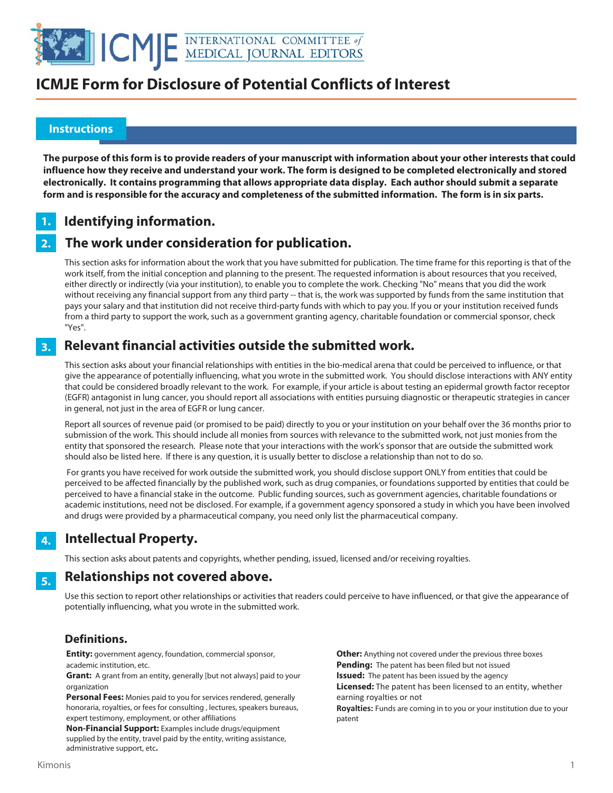

#### **Instructions**

 

> **The purpose of this form is to provide readers of your manuscript with information about your other interests that could influence how they receive and understand your work. The form is designed to be completed electronically and stored electronically. It contains programming that allows appropriate data display. Each author should submit a separate form and is responsible for the accuracy and completeness of the submitted information. The form is in six parts.**

#### **Identifying information. 1.**

#### **The work under consideration for publication. 2.**

This section asks for information about the work that you have submitted for publication. The time frame for this reporting is that of the work itself, from the initial conception and planning to the present. The requested information is about resources that you received, either directly or indirectly (via your institution), to enable you to complete the work. Checking "No" means that you did the work without receiving any financial support from any third party -- that is, the work was supported by funds from the same institution that pays your salary and that institution did not receive third-party funds with which to pay you. If you or your institution received funds from a third party to support the work, such as a government granting agency, charitable foundation or commercial sponsor, check "Yes".

#### **Relevant financial activities outside the submitted work. 3.**

This section asks about your financial relationships with entities in the bio-medical arena that could be perceived to influence, or that give the appearance of potentially influencing, what you wrote in the submitted work. You should disclose interactions with ANY entity that could be considered broadly relevant to the work. For example, if your article is about testing an epidermal growth factor receptor (EGFR) antagonist in lung cancer, you should report all associations with entities pursuing diagnostic or therapeutic strategies in cancer in general, not just in the area of EGFR or lung cancer.

Report all sources of revenue paid (or promised to be paid) directly to you or your institution on your behalf over the 36 months prior to submission of the work. This should include all monies from sources with relevance to the submitted work, not just monies from the entity that sponsored the research. Please note that your interactions with the work's sponsor that are outside the submitted work should also be listed here. If there is any question, it is usually better to disclose a relationship than not to do so.

 For grants you have received for work outside the submitted work, you should disclose support ONLY from entities that could be perceived to be affected financially by the published work, such as drug companies, or foundations supported by entities that could be perceived to have a financial stake in the outcome. Public funding sources, such as government agencies, charitable foundations or academic institutions, need not be disclosed. For example, if a government agency sponsored a study in which you have been involved and drugs were provided by a pharmaceutical company, you need only list the pharmaceutical company.

#### **Intellectual Property. 4.**

This section asks about patents and copyrights, whether pending, issued, licensed and/or receiving royalties.

#### **Relationships not covered above. 5.**

Use this section to report other relationships or activities that readers could perceive to have influenced, or that give the appearance of potentially influencing, what you wrote in the submitted work.

### **Definitions.**

**Entity:** government agency, foundation, commercial sponsor, academic institution, etc.

**Grant:** A grant from an entity, generally [but not always] paid to your organization

**Personal Fees:** Monies paid to you for services rendered, generally honoraria, royalties, or fees for consulting , lectures, speakers bureaus, expert testimony, employment, or other affiliations

**Non-Financial Support:** Examples include drugs/equipment supplied by the entity, travel paid by the entity, writing assistance, administrative support, etc**.**

**Other:** Anything not covered under the previous three boxes **Pending:** The patent has been filed but not issued **Issued:** The patent has been issued by the agency **Licensed:** The patent has been licensed to an entity, whether earning royalties or not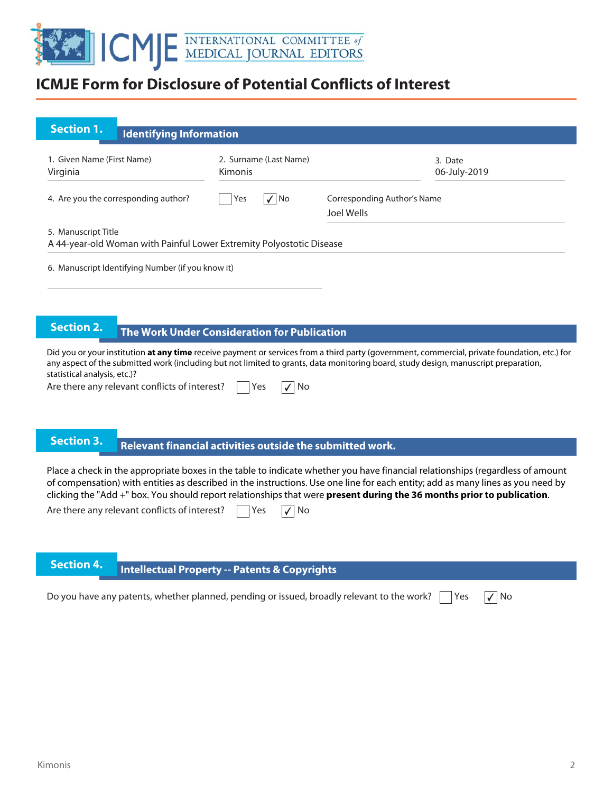

| 1. Given Name (First Name)<br>Virginia                                                      | 2. Surname (Last Name)<br><b>Kimonis</b> | 3. Date<br>06-July-2019                   |
|---------------------------------------------------------------------------------------------|------------------------------------------|-------------------------------------------|
| 4. Are you the corresponding author?                                                        | $\sqrt{ NQ}$<br>Yes                      | Corresponding Author's Name<br>Joel Wells |
| 5. Manuscript Title<br>A 44-year-old Woman with Painful Lower Extremity Polyostotic Disease |                                          |                                           |
| 6. Manuscript Identifying Number (if you know it)                                           |                                          |                                           |

### **The Work Under Consideration for Publication**

Did you or your institution **at any time** receive payment or services from a third party (government, commercial, private foundation, etc.) for any aspect of the submitted work (including but not limited to grants, data monitoring board, study design, manuscript preparation, statistical analysis, etc.)?

Are there any relevant conflicts of interest?  $\Box$  Yes  $\Box$  No

### **Relevant financial activities outside the submitted work. Section 3. Relevant financial activities outset**

Place a check in the appropriate boxes in the table to indicate whether you have financial relationships (regardless of amount of compensation) with entities as described in the instructions. Use one line for each entity; add as many lines as you need by clicking the "Add +" box. You should report relationships that were **present during the 36 months prior to publication**.

Are there any relevant conflicts of interest?  $\Box$  Yes  $\Box$  No

### **Intellectual Property -- Patents & Copyrights**

Do you have any patents, whether planned, pending or issued, broadly relevant to the work?  $\vert \ \vert$  Yes  $\vert \sqrt{} \vert$  No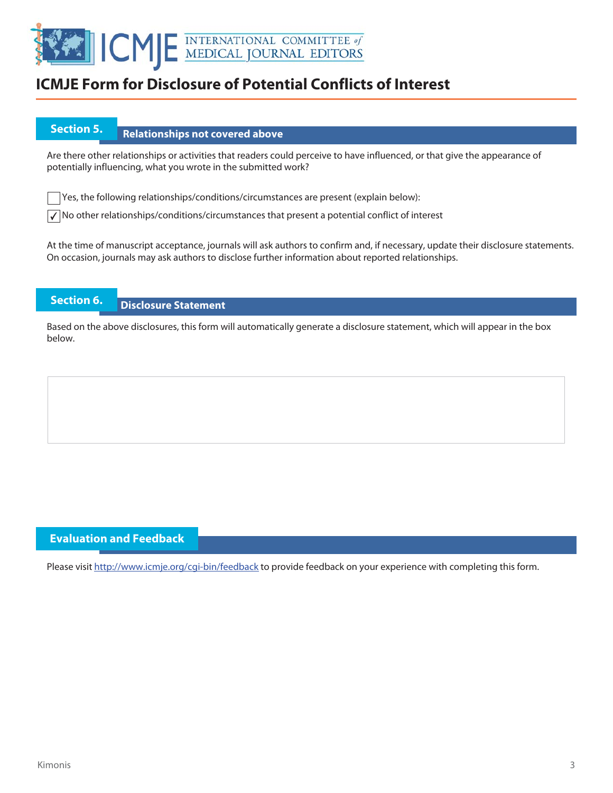

### **Section 5.** Relationships not covered above

Are there other relationships or activities that readers could perceive to have influenced, or that give the appearance of potentially influencing, what you wrote in the submitted work?

Yes, the following relationships/conditions/circumstances are present (explain below):

 $\sqrt{\ }$  No other relationships/conditions/circumstances that present a potential conflict of interest

At the time of manuscript acceptance, journals will ask authors to confirm and, if necessary, update their disclosure statements. On occasion, journals may ask authors to disclose further information about reported relationships.

### **Section 6. Disclosure Statement**

Based on the above disclosures, this form will automatically generate a disclosure statement, which will appear in the box below.

### **Evaluation and Feedback**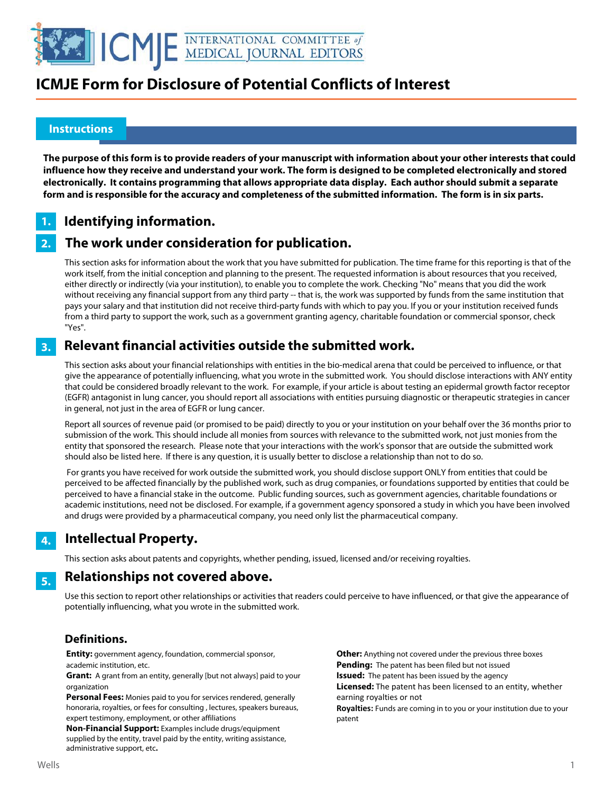

#### **Instructions**

 

> **The purpose of this form is to provide readers of your manuscript with information about your other interests that could influence how they receive and understand your work. The form is designed to be completed electronically and stored electronically. It contains programming that allows appropriate data display. Each author should submit a separate form and is responsible for the accuracy and completeness of the submitted information. The form is in six parts.**

#### **Identifying information. 1.**

#### **The work under consideration for publication. 2.**

This section asks for information about the work that you have submitted for publication. The time frame for this reporting is that of the work itself, from the initial conception and planning to the present. The requested information is about resources that you received, either directly or indirectly (via your institution), to enable you to complete the work. Checking "No" means that you did the work without receiving any financial support from any third party -- that is, the work was supported by funds from the same institution that pays your salary and that institution did not receive third-party funds with which to pay you. If you or your institution received funds from a third party to support the work, such as a government granting agency, charitable foundation or commercial sponsor, check "Yes".

#### **Relevant financial activities outside the submitted work. 3.**

This section asks about your financial relationships with entities in the bio-medical arena that could be perceived to influence, or that give the appearance of potentially influencing, what you wrote in the submitted work. You should disclose interactions with ANY entity that could be considered broadly relevant to the work. For example, if your article is about testing an epidermal growth factor receptor (EGFR) antagonist in lung cancer, you should report all associations with entities pursuing diagnostic or therapeutic strategies in cancer in general, not just in the area of EGFR or lung cancer.

Report all sources of revenue paid (or promised to be paid) directly to you or your institution on your behalf over the 36 months prior to submission of the work. This should include all monies from sources with relevance to the submitted work, not just monies from the entity that sponsored the research. Please note that your interactions with the work's sponsor that are outside the submitted work should also be listed here. If there is any question, it is usually better to disclose a relationship than not to do so.

 For grants you have received for work outside the submitted work, you should disclose support ONLY from entities that could be perceived to be affected financially by the published work, such as drug companies, or foundations supported by entities that could be perceived to have a financial stake in the outcome. Public funding sources, such as government agencies, charitable foundations or academic institutions, need not be disclosed. For example, if a government agency sponsored a study in which you have been involved and drugs were provided by a pharmaceutical company, you need only list the pharmaceutical company.

#### **Intellectual Property. 4.**

This section asks about patents and copyrights, whether pending, issued, licensed and/or receiving royalties.

#### **Relationships not covered above. 5.**

Use this section to report other relationships or activities that readers could perceive to have influenced, or that give the appearance of potentially influencing, what you wrote in the submitted work.

### **Definitions.**

**Entity:** government agency, foundation, commercial sponsor, academic institution, etc.

**Grant:** A grant from an entity, generally [but not always] paid to your organization

**Personal Fees:** Monies paid to you for services rendered, generally honoraria, royalties, or fees for consulting , lectures, speakers bureaus, expert testimony, employment, or other affiliations

**Non-Financial Support:** Examples include drugs/equipment supplied by the entity, travel paid by the entity, writing assistance, administrative support, etc**.**

**Other:** Anything not covered under the previous three boxes **Pending:** The patent has been filed but not issued **Issued:** The patent has been issued by the agency **Licensed:** The patent has been licensed to an entity, whether earning royalties or not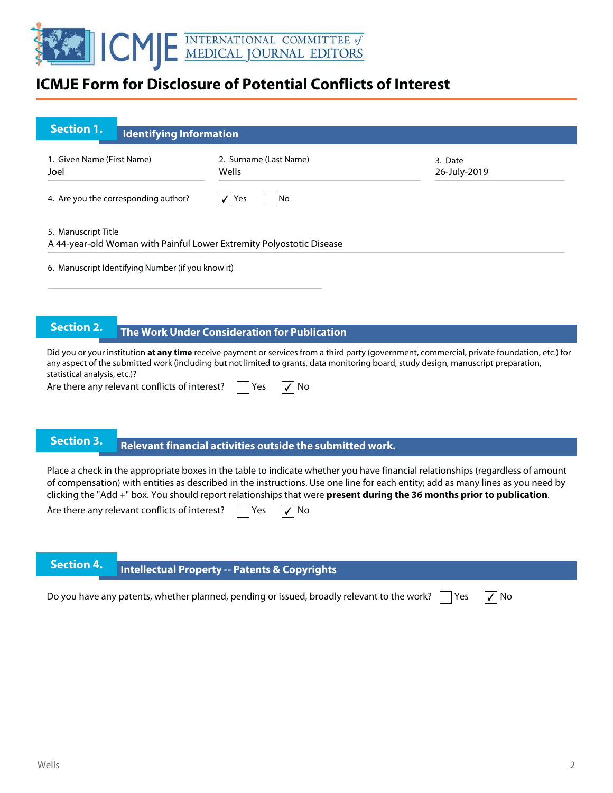

| <b>Section 1.</b>                  | <b>Identifying Information</b>                    |                                                                      |                         |
|------------------------------------|---------------------------------------------------|----------------------------------------------------------------------|-------------------------|
| 1. Given Name (First Name)<br>Joel |                                                   | 2. Surname (Last Name)<br>Wells                                      | 3. Date<br>26-July-2019 |
|                                    | 4. Are you the corresponding author?              | $ \sqrt{ } $ Yes<br>No.                                              |                         |
| 5. Manuscript Title                |                                                   | A 44-year-old Woman with Painful Lower Extremity Polyostotic Disease |                         |
|                                    | 6. Manuscript Identifying Number (if you know it) |                                                                      |                         |

## **The Work Under Consideration for Publication**

Did you or your institution **at any time** receive payment or services from a third party (government, commercial, private foundation, etc.) for any aspect of the submitted work (including but not limited to grants, data monitoring board, study design, manuscript preparation, statistical analysis, etc.)?

| Are there any relevant conflicts of interest? |  | l Yes |  | $\vert\sqrt{\vert}$ No |
|-----------------------------------------------|--|-------|--|------------------------|
|-----------------------------------------------|--|-------|--|------------------------|

## **Relevant financial activities outside the submitted work. Section 3. Relevant financial activities outset**

Place a check in the appropriate boxes in the table to indicate whether you have financial relationships (regardless of amount of compensation) with entities as described in the instructions. Use one line for each entity; add as many lines as you need by clicking the "Add +" box. You should report relationships that were **present during the 36 months prior to publication**.

| Are there any relevant conflicts of interest? |  | l Yes |  | $\sqrt{}$ No |
|-----------------------------------------------|--|-------|--|--------------|
|-----------------------------------------------|--|-------|--|--------------|

## **Intellectual Property -- Patents & Copyrights**

| Do you have any patents, whether planned, pending or issued, broadly relevant to the work? $\Box$ Yes $\Box$ No |  |  |
|-----------------------------------------------------------------------------------------------------------------|--|--|
|                                                                                                                 |  |  |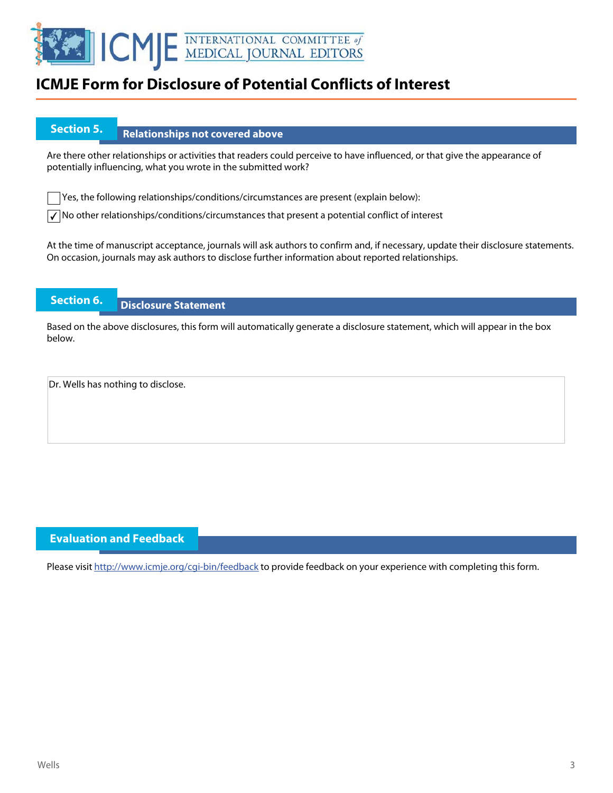

### **Section 5.** Relationships not covered above

Are there other relationships or activities that readers could perceive to have influenced, or that give the appearance of potentially influencing, what you wrote in the submitted work?

Yes, the following relationships/conditions/circumstances are present (explain below):

 $\sqrt{\ }$  No other relationships/conditions/circumstances that present a potential conflict of interest

At the time of manuscript acceptance, journals will ask authors to confirm and, if necessary, update their disclosure statements. On occasion, journals may ask authors to disclose further information about reported relationships.

### **Section 6. Disclosure Statement**

Based on the above disclosures, this form will automatically generate a disclosure statement, which will appear in the box below.

Dr. Wells has nothing to disclose.

### **Evaluation and Feedback**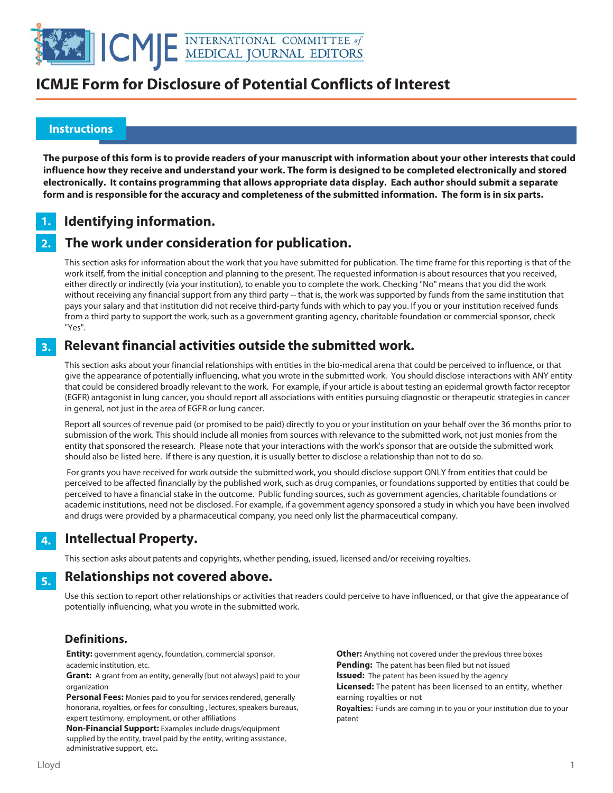

#### **Instructions**

 

> **The purpose of this form is to provide readers of your manuscript with information about your other interests that could influence how they receive and understand your work. The form is designed to be completed electronically and stored electronically. It contains programming that allows appropriate data display. Each author should submit a separate form and is responsible for the accuracy and completeness of the submitted information. The form is in six parts.**

#### **Identifying information. 1.**

#### **The work under consideration for publication. 2.**

This section asks for information about the work that you have submitted for publication. The time frame for this reporting is that of the work itself, from the initial conception and planning to the present. The requested information is about resources that you received, either directly or indirectly (via your institution), to enable you to complete the work. Checking "No" means that you did the work without receiving any financial support from any third party -- that is, the work was supported by funds from the same institution that pays your salary and that institution did not receive third-party funds with which to pay you. If you or your institution received funds from a third party to support the work, such as a government granting agency, charitable foundation or commercial sponsor, check "Yes".

#### **Relevant financial activities outside the submitted work. 3.**

This section asks about your financial relationships with entities in the bio-medical arena that could be perceived to influence, or that give the appearance of potentially influencing, what you wrote in the submitted work. You should disclose interactions with ANY entity that could be considered broadly relevant to the work. For example, if your article is about testing an epidermal growth factor receptor (EGFR) antagonist in lung cancer, you should report all associations with entities pursuing diagnostic or therapeutic strategies in cancer in general, not just in the area of EGFR or lung cancer.

Report all sources of revenue paid (or promised to be paid) directly to you or your institution on your behalf over the 36 months prior to submission of the work. This should include all monies from sources with relevance to the submitted work, not just monies from the entity that sponsored the research. Please note that your interactions with the work's sponsor that are outside the submitted work should also be listed here. If there is any question, it is usually better to disclose a relationship than not to do so.

 For grants you have received for work outside the submitted work, you should disclose support ONLY from entities that could be perceived to be affected financially by the published work, such as drug companies, or foundations supported by entities that could be perceived to have a financial stake in the outcome. Public funding sources, such as government agencies, charitable foundations or academic institutions, need not be disclosed. For example, if a government agency sponsored a study in which you have been involved and drugs were provided by a pharmaceutical company, you need only list the pharmaceutical company.

#### **Intellectual Property. 4.**

This section asks about patents and copyrights, whether pending, issued, licensed and/or receiving royalties.

#### **Relationships not covered above. 5.**

Use this section to report other relationships or activities that readers could perceive to have influenced, or that give the appearance of potentially influencing, what you wrote in the submitted work.

### **Definitions.**

**Entity:** government agency, foundation, commercial sponsor, academic institution, etc.

**Grant:** A grant from an entity, generally [but not always] paid to your organization

**Personal Fees:** Monies paid to you for services rendered, generally honoraria, royalties, or fees for consulting , lectures, speakers bureaus, expert testimony, employment, or other affiliations

**Non-Financial Support:** Examples include drugs/equipment supplied by the entity, travel paid by the entity, writing assistance, administrative support, etc**.**

**Other:** Anything not covered under the previous three boxes **Pending:** The patent has been filed but not issued **Issued:** The patent has been issued by the agency **Licensed:** The patent has been licensed to an entity, whether earning royalties or not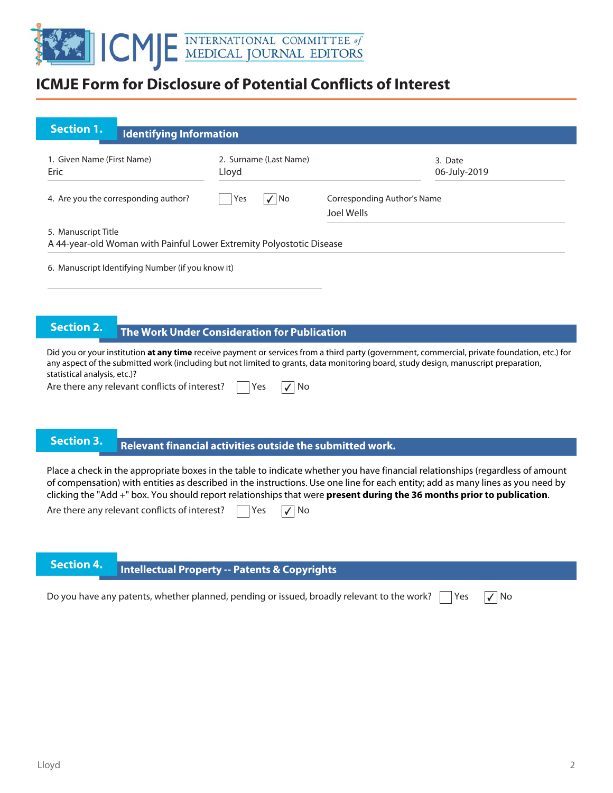

| <b>Section 1.</b>                                 | <b>Identifying Information</b> |                                                                      |                                           |                         |
|---------------------------------------------------|--------------------------------|----------------------------------------------------------------------|-------------------------------------------|-------------------------|
| 1. Given Name (First Name)<br>Eric                |                                | 2. Surname (Last Name)<br>Lloyd                                      |                                           | 3. Date<br>06-July-2019 |
| 4. Are you the corresponding author?              |                                | $\sqrt{ NQ}$<br>Yes                                                  | Corresponding Author's Name<br>Joel Wells |                         |
| 5. Manuscript Title                               |                                | A 44-year-old Woman with Painful Lower Extremity Polyostotic Disease |                                           |                         |
| 6. Manuscript Identifying Number (if you know it) |                                |                                                                      |                                           |                         |

### **The Work Under Consideration for Publication**

Did you or your institution **at any time** receive payment or services from a third party (government, commercial, private foundation, etc.) for any aspect of the submitted work (including but not limited to grants, data monitoring board, study design, manuscript preparation, statistical analysis, etc.)?

| Are there any relevant conflicts of interest? |  | <b>Yes</b> |  | $\sqrt{}$ No |
|-----------------------------------------------|--|------------|--|--------------|
|-----------------------------------------------|--|------------|--|--------------|

## **Relevant financial activities outside the submitted work. Section 3. Relevant financial activities outset**

Place a check in the appropriate boxes in the table to indicate whether you have financial relationships (regardless of amount of compensation) with entities as described in the instructions. Use one line for each entity; add as many lines as you need by clicking the "Add +" box. You should report relationships that were **present during the 36 months prior to publication**.

Are there any relevant conflicts of interest?  $\Box$  Yes  $\Box$  No

# **Intellectual Property -- Patents & Copyrights**

Do you have any patents, whether planned, pending or issued, broadly relevant to the work?  $\vert \ \vert$  Yes  $\vert \sqrt{} \vert$  No